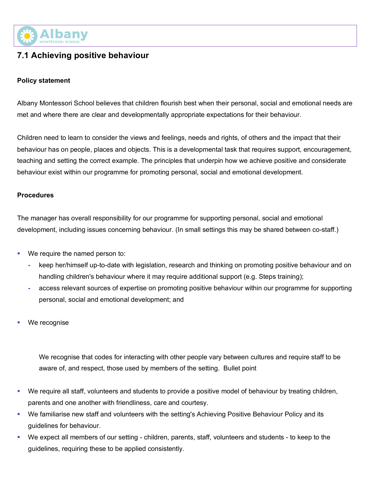

# **7.1 Achieving positive behaviour**

#### **Policy statement**

Albany Montessori School believes that children flourish best when their personal, social and emotional needs are met and where there are clear and developmentally appropriate expectations for their behaviour.

Children need to learn to consider the views and feelings, needs and rights, of others and the impact that their behaviour has on people, places and objects. This is a developmental task that requires support, encouragement, teaching and setting the correct example. The principles that underpin how we achieve positive and considerate behaviour exist within our programme for promoting personal, social and emotional development.

#### **Procedures**

The manager has overall responsibility for our programme for supporting personal, social and emotional development, including issues concerning behaviour. (In small settings this may be shared between co-staff.)

- We require the named person to:
	- **-** keep her/himself up-to-date with legislation, research and thinking on promoting positive behaviour and on handling children's behaviour where it may require additional support (e.g. Steps training);
	- **-** access relevant sources of expertise on promoting positive behaviour within our programme for supporting personal, social and emotional development; and
- We recognise

We recognise that codes for interacting with other people vary between cultures and require staff to be aware of, and respect, those used by members of the setting. Bullet point

- We require all staff, volunteers and students to provide a positive model of behaviour by treating children, parents and one another with friendliness, care and courtesy.
- We familiarise new staff and volunteers with the setting's Achieving Positive Behaviour Policy and its guidelines for behaviour.
- § We expect all members of our setting children, parents, staff, volunteers and students to keep to the guidelines, requiring these to be applied consistently.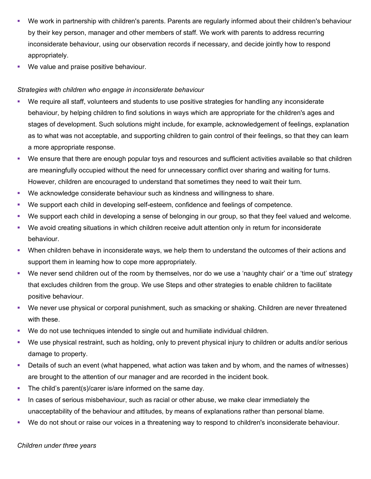- § We work in partnership with children's parents. Parents are regularly informed about their children's behaviour by their key person, manager and other members of staff. We work with parents to address recurring inconsiderate behaviour, using our observation records if necessary, and decide jointly how to respond appropriately.
- We value and praise positive behaviour.

# *Strategies with children who engage in inconsiderate behaviour*

- We require all staff, volunteers and students to use positive strategies for handling any inconsiderate behaviour, by helping children to find solutions in ways which are appropriate for the children's ages and stages of development. Such solutions might include, for example, acknowledgement of feelings, explanation as to what was not acceptable, and supporting children to gain control of their feelings, so that they can learn a more appropriate response.
- § We ensure that there are enough popular toys and resources and sufficient activities available so that children are meaningfully occupied without the need for unnecessary conflict over sharing and waiting for turns. However, children are encouraged to understand that sometimes they need to wait their turn.
- § We acknowledge considerate behaviour such as kindness and willingness to share.
- § We support each child in developing self-esteem, confidence and feelings of competence.
- § We support each child in developing a sense of belonging in our group, so that they feel valued and welcome.
- We avoid creating situations in which children receive adult attention only in return for inconsiderate behaviour.
- When children behave in inconsiderate ways, we help them to understand the outcomes of their actions and support them in learning how to cope more appropriately.
- We never send children out of the room by themselves, nor do we use a 'naughty chair' or a 'time out' strategy that excludes children from the group. We use Steps and other strategies to enable children to facilitate positive behaviour.
- § We never use physical or corporal punishment, such as smacking or shaking. Children are never threatened with these.
- We do not use techniques intended to single out and humiliate individual children.
- We use physical restraint, such as holding, only to prevent physical injury to children or adults and/or serious damage to property.
- Details of such an event (what happened, what action was taken and by whom, and the names of witnesses) are brought to the attention of our manager and are recorded in the incident book.
- The child's parent(s)/carer is/are informed on the same day.
- **In cases of serious misbehaviour, such as racial or other abuse, we make clear immediately the** unacceptability of the behaviour and attitudes, by means of explanations rather than personal blame.
- We do not shout or raise our voices in a threatening way to respond to children's inconsiderate behaviour.

#### *Children under three years*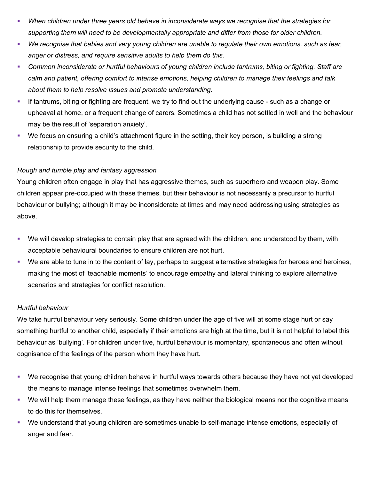- § *When children under three years old behave in inconsiderate ways we recognise that the strategies for supporting them will need to be developmentally appropriate and differ from those for older children.*
- § *We recognise that babies and very young children are unable to regulate their own emotions, such as fear, anger or distress, and require sensitive adults to help them do this.*
- § *Common inconsiderate or hurtful behaviours of young children include tantrums, biting or fighting. Staff are calm and patient, offering comfort to intense emotions, helping children to manage their feelings and talk about them to help resolve issues and promote understanding.*
- § If tantrums, biting or fighting are frequent, we try to find out the underlying cause such as a change or upheaval at home, or a frequent change of carers. Sometimes a child has not settled in well and the behaviour may be the result of 'separation anxiety'.
- We focus on ensuring a child's attachment figure in the setting, their key person, is building a strong relationship to provide security to the child.

# *Rough and tumble play and fantasy aggression*

Young children often engage in play that has aggressive themes, such as superhero and weapon play. Some children appear pre-occupied with these themes, but their behaviour is not necessarily a precursor to hurtful behaviour or bullying; although it may be inconsiderate at times and may need addressing using strategies as above.

- § We will develop strategies to contain play that are agreed with the children, and understood by them, with acceptable behavioural boundaries to ensure children are not hurt.
- § We are able to tune in to the content of lay, perhaps to suggest alternative strategies for heroes and heroines, making the most of 'teachable moments' to encourage empathy and lateral thinking to explore alternative scenarios and strategies for conflict resolution.

# *Hurtful behaviour*

We take hurtful behaviour very seriously. Some children under the age of five will at some stage hurt or say something hurtful to another child, especially if their emotions are high at the time, but it is not helpful to label this behaviour as 'bullying'. For children under five, hurtful behaviour is momentary, spontaneous and often without cognisance of the feelings of the person whom they have hurt.

- § We recognise that young children behave in hurtful ways towards others because they have not yet developed the means to manage intense feelings that sometimes overwhelm them.
- § We will help them manage these feelings, as they have neither the biological means nor the cognitive means to do this for themselves.
- § We understand that young children are sometimes unable to self-manage intense emotions, especially of anger and fear.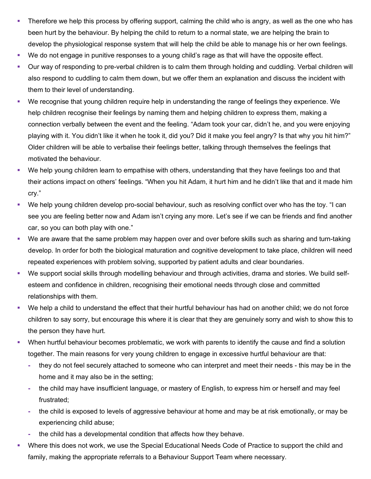- Therefore we help this process by offering support, calming the child who is angry, as well as the one who has been hurt by the behaviour. By helping the child to return to a normal state, we are helping the brain to develop the physiological response system that will help the child be able to manage his or her own feelings.
- We do not engage in punitive responses to a young child's rage as that will have the opposite effect.
- Our way of responding to pre-verbal children is to calm them through holding and cuddling. Verbal children will also respond to cuddling to calm them down, but we offer them an explanation and discuss the incident with them to their level of understanding.
- § We recognise that young children require help in understanding the range of feelings they experience. We help children recognise their feelings by naming them and helping children to express them, making a connection verbally between the event and the feeling. "Adam took your car, didn't he, and you were enjoying playing with it. You didn't like it when he took it, did you? Did it make you feel angry? Is that why you hit him?" Older children will be able to verbalise their feelings better, talking through themselves the feelings that motivated the behaviour.
- § We help young children learn to empathise with others, understanding that they have feelings too and that their actions impact on others' feelings. "When you hit Adam, it hurt him and he didn't like that and it made him cry."
- We help young children develop pro-social behaviour, such as resolving conflict over who has the toy. "I can see you are feeling better now and Adam isn't crying any more. Let's see if we can be friends and find another car, so you can both play with one."
- We are aware that the same problem may happen over and over before skills such as sharing and turn-taking develop. In order for both the biological maturation and cognitive development to take place, children will need repeated experiences with problem solving, supported by patient adults and clear boundaries.
- § We support social skills through modelling behaviour and through activities, drama and stories. We build selfesteem and confidence in children, recognising their emotional needs through close and committed relationships with them.
- § We help a child to understand the effect that their hurtful behaviour has had on another child; we do not force children to say sorry, but encourage this where it is clear that they are genuinely sorry and wish to show this to the person they have hurt.
- When hurtful behaviour becomes problematic, we work with parents to identify the cause and find a solution together. The main reasons for very young children to engage in excessive hurtful behaviour are that:
	- **-** they do not feel securely attached to someone who can interpret and meet their needs this may be in the home and it may also be in the setting;
	- **-** the child may have insufficient language, or mastery of English, to express him or herself and may feel frustrated;
	- **-** the child is exposed to levels of aggressive behaviour at home and may be at risk emotionally, or may be experiencing child abuse;
	- **-** the child has a developmental condition that affects how they behave.
- Where this does not work, we use the Special Educational Needs Code of Practice to support the child and family, making the appropriate referrals to a Behaviour Support Team where necessary.